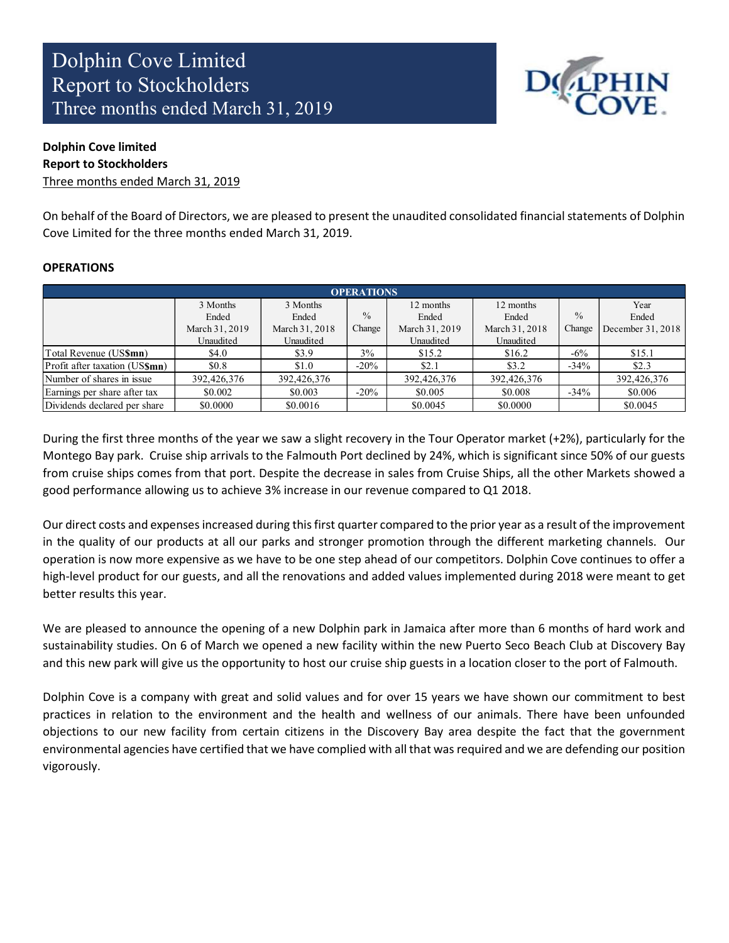

# Dolphin Cove limited Report to Stockholders

Three months ended March 31, 2019

On behalf of the Board of Directors, we are pleased to present the unaudited consolidated financial statements of Dolphin Cove Limited for the three months ended March 31, 2019.

#### **OPERATIONS**

| <b>OPERATIONS</b>              |                |                |               |                |                |               |                   |  |  |
|--------------------------------|----------------|----------------|---------------|----------------|----------------|---------------|-------------------|--|--|
|                                | 3 Months       | 3 Months       |               | 12 months      | 12 months      |               | Year              |  |  |
|                                | Ended          | Ended          | $\frac{0}{0}$ | Ended          | Ended          | $\frac{0}{0}$ | Ended             |  |  |
|                                | March 31, 2019 | March 31, 2018 | Change        | March 31, 2019 | March 31, 2018 | Change        | December 31, 2018 |  |  |
|                                | Unaudited      | Unaudited      |               | Unaudited      | Unaudited      |               |                   |  |  |
| Total Revenue (US\$mn)         | \$4.0          | \$3.9          | 3%            | \$15.2         | \$16.2         | $-6\%$        | \$15.1            |  |  |
| Profit after taxation (US\$mn) | \$0.8          | \$1.0          | $-20%$        | \$2.1          | \$3.2          | $-34%$        | \$2.3             |  |  |
| Number of shares in issue      | 392,426,376    | 392,426,376    |               | 392,426,376    | 392,426,376    |               | 392,426,376       |  |  |
| Earnings per share after tax   | \$0.002        | \$0.003        | $-20%$        | \$0.005        | \$0.008        | $-34%$        | \$0.006           |  |  |
| Dividends declared per share   | \$0.0000       | \$0.0016       |               | \$0.0045       | \$0.0000       |               | \$0.0045          |  |  |

During the first three months of the year we saw a slight recovery in the Tour Operator market (+2%), particularly for the Montego Bay park. Cruise ship arrivals to the Falmouth Port declined by 24%, which is significant since 50% of our guests from cruise ships comes from that port. Despite the decrease in sales from Cruise Ships, all the other Markets showed a good performance allowing us to achieve 3% increase in our revenue compared to Q1 2018.

Our direct costs and expenses increased during this first quarter compared to the prior year as a result of the improvement in the quality of our products at all our parks and stronger promotion through the different marketing channels. Our operation is now more expensive as we have to be one step ahead of our competitors. Dolphin Cove continues to offer a high-level product for our guests, and all the renovations and added values implemented during 2018 were meant to get better results this year.

We are pleased to announce the opening of a new Dolphin park in Jamaica after more than 6 months of hard work and sustainability studies. On 6 of March we opened a new facility within the new Puerto Seco Beach Club at Discovery Bay and this new park will give us the opportunity to host our cruise ship guests in a location closer to the port of Falmouth.

Dolphin Cove is a company with great and solid values and for over 15 years we have shown our commitment to best practices in relation to the environment and the health and wellness of our animals. There have been unfounded objections to our new facility from certain citizens in the Discovery Bay area despite the fact that the government environmental agencies have certified that we have complied with all that was required and we are defending our position vigorously.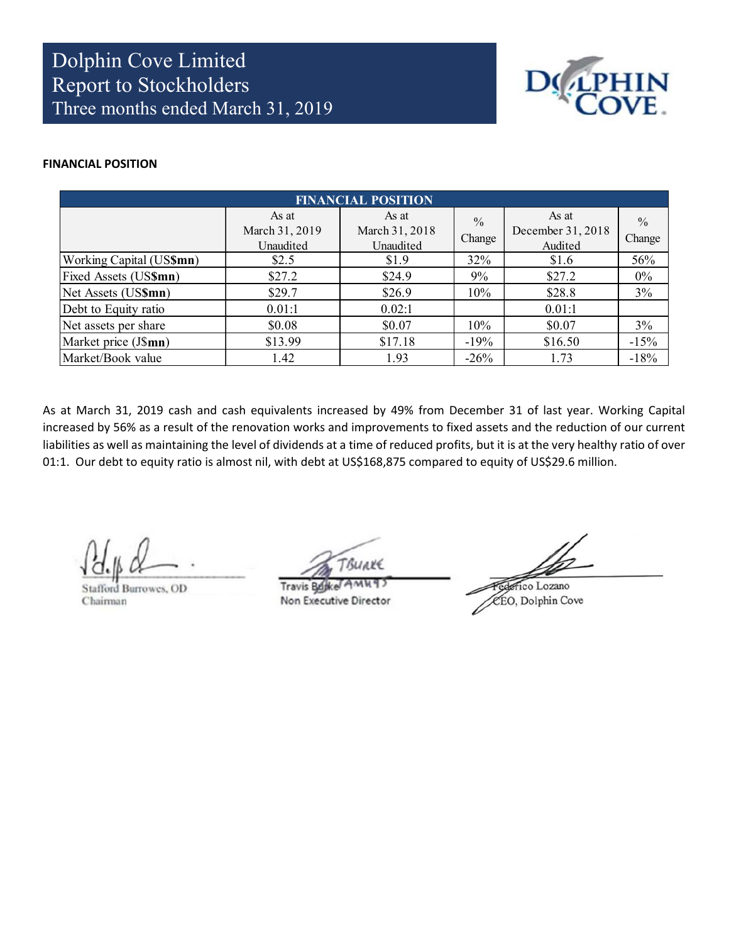

#### FINANCIAL POSITION

| <b>FINANCIAL POSITION</b> |                                      |                                      |                         |                                       |                         |  |  |  |
|---------------------------|--------------------------------------|--------------------------------------|-------------------------|---------------------------------------|-------------------------|--|--|--|
|                           | As at<br>March 31, 2019<br>Unaudited | As at<br>March 31, 2018<br>Unaudited | $\frac{0}{0}$<br>Change | As at<br>December 31, 2018<br>Audited | $\frac{0}{0}$<br>Change |  |  |  |
| Working Capital (US\$mn)  | \$2.5                                | \$1.9                                | 32%                     | \$1.6                                 | 56%                     |  |  |  |
| Fixed Assets (US\$mn)     | \$27.2                               | \$24.9                               | 9%                      | \$27.2                                | $0\%$                   |  |  |  |
| Net Assets (US\$mn)       | \$29.7                               | \$26.9                               | 10%                     | \$28.8                                | 3%                      |  |  |  |
| Debt to Equity ratio      | 0.01:1                               | 0.02:1                               |                         | 0.01:1                                |                         |  |  |  |
| Net assets per share      | \$0.08                               | \$0.07                               | 10%                     | \$0.07                                | 3%                      |  |  |  |
| Market price (J\$mn)      | \$13.99                              | \$17.18                              | $-19%$                  | \$16.50                               | $-15%$                  |  |  |  |
| Market/Book value         | 1.42                                 | 1.93                                 | $-26%$                  | 1.73                                  | $-18%$                  |  |  |  |

As at March 31, 2019 cash and cash equivalents increased by 49% from December 31 of last year. Working Capital increased by 56% as a result of the renovation works and improvements to fixed assets and the reduction of our current liabilities as well as maintaining the level of dividends at a time of reduced profits, but it is at the very healthy ratio of over 01:1. Our debt to equity ratio is almost nil, with debt at US\$168,875 compared to equity of US\$29.6 million.

**Stafford Burrowes**, OD Chairman

BULKE

**Travis Bd** Non Executive Director

crico Lozano CEO, Dolphin Cove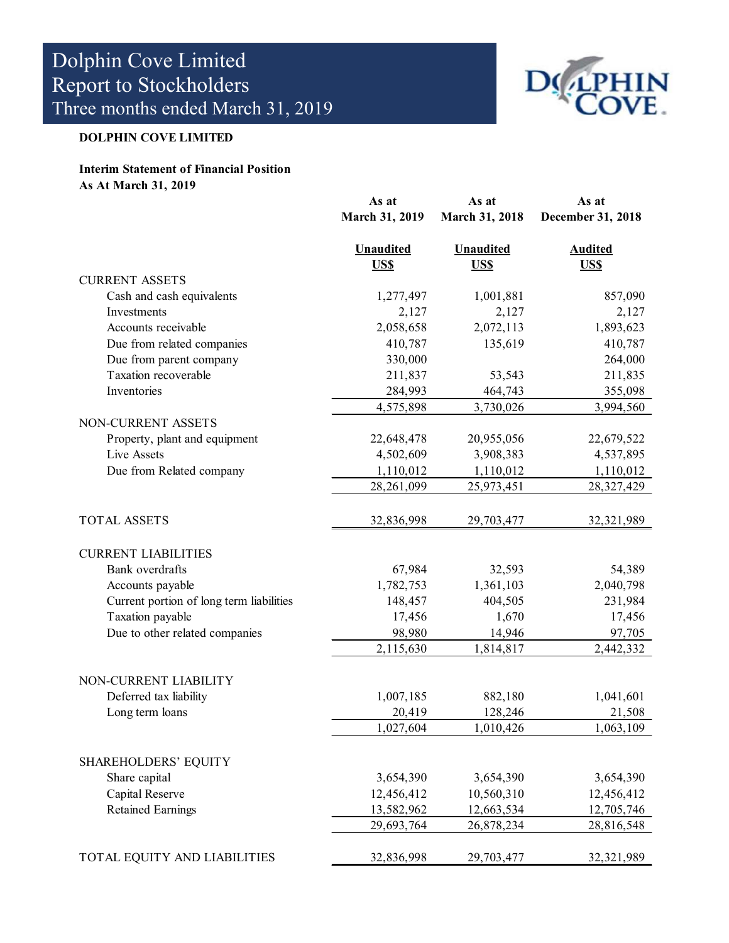

# DOLPHIN COVE LIMITED

#### Interim Statement of Financial Position As At March 31, 2019

|                                          | As at<br>March 31, 2019 | As at<br><b>March 31, 2018</b> | As at<br>December 31, 2018 |
|------------------------------------------|-------------------------|--------------------------------|----------------------------|
|                                          |                         |                                |                            |
|                                          | <b>Unaudited</b>        | <b>Unaudited</b>               | <b>Audited</b>             |
|                                          | US\$                    | <b>US\$</b>                    | US\$                       |
| <b>CURRENT ASSETS</b>                    |                         |                                |                            |
| Cash and cash equivalents                | 1,277,497               | 1,001,881                      | 857,090                    |
| Investments                              | 2,127                   | 2,127                          | 2,127                      |
| Accounts receivable                      | 2,058,658               | 2,072,113                      | 1,893,623                  |
| Due from related companies               | 410,787                 | 135,619                        | 410,787                    |
| Due from parent company                  | 330,000                 |                                | 264,000                    |
| Taxation recoverable                     | 211,837                 | 53,543                         | 211,835                    |
| Inventories                              | 284,993                 | 464,743                        | 355,098                    |
|                                          | 4,575,898               | 3,730,026                      | 3,994,560                  |
| NON-CURRENT ASSETS                       |                         |                                |                            |
| Property, plant and equipment            | 22,648,478              | 20,955,056                     | 22,679,522                 |
| Live Assets                              | 4,502,609               | 3,908,383                      | 4,537,895                  |
| Due from Related company                 | 1,110,012               | 1,110,012                      | 1,110,012                  |
|                                          | 28,261,099              | 25,973,451                     | 28,327,429                 |
| <b>TOTAL ASSETS</b>                      | 32,836,998              | 29,703,477                     | 32, 321, 989               |
| <b>CURRENT LIABILITIES</b>               |                         |                                |                            |
| Bank overdrafts                          | 67,984                  | 32,593                         | 54,389                     |
| Accounts payable                         | 1,782,753               | 1,361,103                      | 2,040,798                  |
| Current portion of long term liabilities | 148,457                 | 404,505                        | 231,984                    |
| Taxation payable                         | 17,456                  | 1,670                          | 17,456                     |
| Due to other related companies           | 98,980                  | 14,946                         | 97,705                     |
|                                          | 2,115,630               | 1,814,817                      | 2,442,332                  |
| NON-CURRENT LIABILITY                    |                         |                                |                            |
| Deferred tax liability                   | 1,007,185               | 882,180                        | 1,041,601                  |
| Long term loans                          | 20,419                  | 128,246                        | 21,508                     |
|                                          | 1,027,604               | 1,010,426                      | 1,063,109                  |
| <b>SHAREHOLDERS' EQUITY</b>              |                         |                                |                            |
| Share capital                            | 3,654,390               | 3,654,390                      | 3,654,390                  |
| Capital Reserve                          | 12,456,412              | 10,560,310                     | 12,456,412                 |
| <b>Retained Earnings</b>                 | 13,582,962              | 12,663,534                     | 12,705,746                 |
|                                          | 29,693,764              | 26,878,234                     | 28,816,548                 |
|                                          |                         |                                |                            |
| TOTAL EQUITY AND LIABILITIES             | 32,836,998              | 29,703,477                     | 32,321,989                 |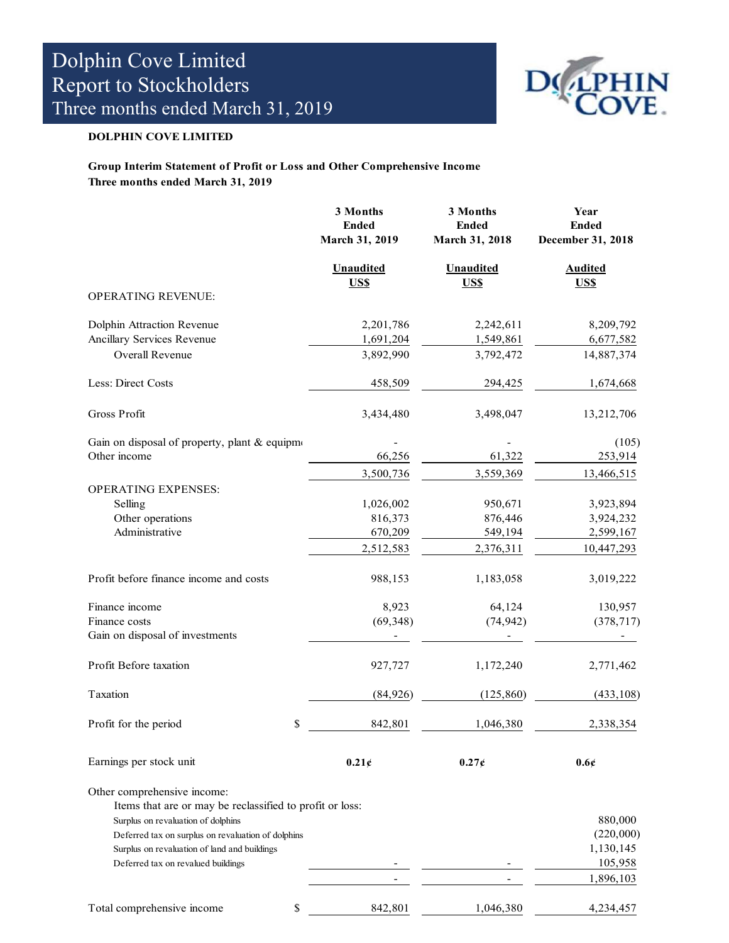

#### DOLPHIN COVE LIMITED

#### Group Interim Statement of Profit or Loss and Other Comprehensive Income Three months ended March 31, 2019

|                                                          | 3 Months<br><b>Ended</b><br>March 31, 2019 | 3 Months<br><b>Ended</b><br>March 31, 2018 | Year<br><b>Ended</b><br>December 31, 2018 |
|----------------------------------------------------------|--------------------------------------------|--------------------------------------------|-------------------------------------------|
|                                                          | <b>Unaudited</b><br>US\$                   | <b>Unaudited</b><br>US\$                   | <b>Audited</b><br>US\$                    |
| OPERATING REVENUE:                                       |                                            |                                            |                                           |
| Dolphin Attraction Revenue                               | 2,201,786                                  | 2,242,611                                  | 8,209,792                                 |
| Ancillary Services Revenue                               | 1,691,204                                  | 1,549,861                                  | 6,677,582                                 |
| Overall Revenue                                          | 3,892,990                                  | 3,792,472                                  | 14,887,374                                |
| Less: Direct Costs                                       | 458,509                                    | 294,425                                    | 1,674,668                                 |
| Gross Profit                                             | 3,434,480                                  | 3,498,047                                  | 13,212,706                                |
| Gain on disposal of property, plant & equipme            |                                            |                                            | (105)                                     |
| Other income                                             | 66,256                                     | 61,322                                     | 253,914                                   |
|                                                          | 3,500,736                                  | 3,559,369                                  | 13,466,515                                |
| <b>OPERATING EXPENSES:</b>                               |                                            |                                            |                                           |
| Selling                                                  | 1,026,002                                  | 950,671                                    | 3,923,894                                 |
| Other operations                                         | 816,373                                    | 876,446                                    | 3,924,232                                 |
| Administrative                                           | 670,209                                    | 549,194                                    | 2,599,167                                 |
|                                                          | 2,512,583                                  | 2,376,311                                  | 10,447,293                                |
| Profit before finance income and costs                   | 988,153                                    | 1,183,058                                  | 3,019,222                                 |
| Finance income                                           | 8,923                                      | 64,124                                     | 130,957                                   |
| Finance costs                                            | (69, 348)                                  | (74, 942)                                  | (378, 717)                                |
| Gain on disposal of investments                          |                                            |                                            |                                           |
| Profit Before taxation                                   | 927,727                                    | 1,172,240                                  | 2,771,462                                 |
| Taxation                                                 | (84, 926)                                  | (125, 860)                                 | (433, 108)                                |
| Profit for the period                                    | \$<br>842,801                              | 1,046,380                                  | 2,338,354                                 |
| Earnings per stock unit                                  | 0.21c                                      | $0.27\xi$                                  | 0.6c                                      |
| Other comprehensive income:                              |                                            |                                            |                                           |
| Items that are or may be reclassified to profit or loss: |                                            |                                            |                                           |
| Surplus on revaluation of dolphins                       |                                            |                                            | 880,000                                   |
| Deferred tax on surplus on revaluation of dolphins       |                                            |                                            | (220,000)                                 |
| Surplus on revaluation of land and buildings             |                                            |                                            | 1,130,145                                 |
| Deferred tax on revalued buildings                       |                                            |                                            | 105,958                                   |
|                                                          |                                            |                                            | 1,896,103                                 |
| Total comprehensive income                               | \$<br>842,801                              | 1,046,380                                  | 4,234,457                                 |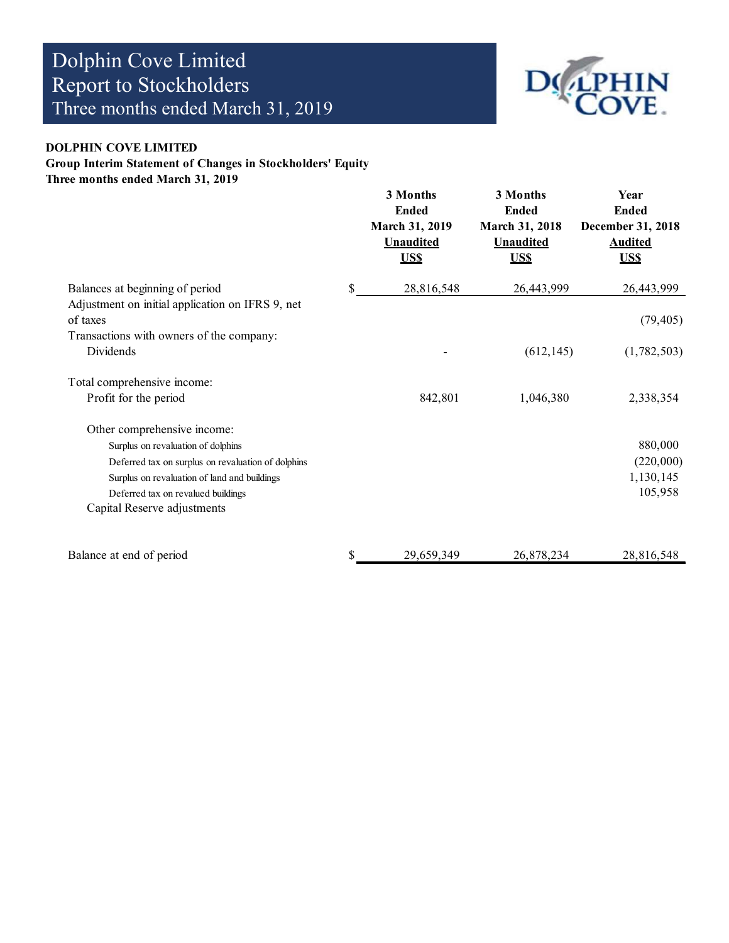

#### DOLPHIN COVE LIMITED

# Group Interim Statement of Changes in Stockholders' Equity

Three months ended March 31, 2019

|                                                    | 3 Months<br><b>Ended</b><br><b>March 31, 2019</b><br><b>Unaudited</b><br><b>USS</b> | 3 Months<br><b>Ended</b><br>March 31, 2018<br><b>Unaudited</b><br><b>USS</b> | Year<br><b>Ended</b><br>December 31, 2018<br><b>Audited</b><br><b>USS</b> |
|----------------------------------------------------|-------------------------------------------------------------------------------------|------------------------------------------------------------------------------|---------------------------------------------------------------------------|
| Balances at beginning of period                    | \$<br>28,816,548                                                                    | 26,443,999                                                                   | 26,443,999                                                                |
| Adjustment on initial application on IFRS 9, net   |                                                                                     |                                                                              |                                                                           |
| of taxes                                           |                                                                                     |                                                                              | (79, 405)                                                                 |
| Transactions with owners of the company:           |                                                                                     |                                                                              |                                                                           |
| Dividends                                          |                                                                                     | (612, 145)                                                                   | (1,782,503)                                                               |
| Total comprehensive income:                        |                                                                                     |                                                                              |                                                                           |
| Profit for the period                              | 842,801                                                                             | 1,046,380                                                                    | 2,338,354                                                                 |
| Other comprehensive income:                        |                                                                                     |                                                                              |                                                                           |
| Surplus on revaluation of dolphins                 |                                                                                     |                                                                              | 880,000                                                                   |
| Deferred tax on surplus on revaluation of dolphins |                                                                                     |                                                                              | (220,000)                                                                 |
| Surplus on revaluation of land and buildings       |                                                                                     |                                                                              | 1,130,145                                                                 |
| Deferred tax on revalued buildings                 |                                                                                     |                                                                              | 105,958                                                                   |
| Capital Reserve adjustments                        |                                                                                     |                                                                              |                                                                           |
| Balance at end of period                           | 29,659,349                                                                          | 26,878,234                                                                   | 28,816,548                                                                |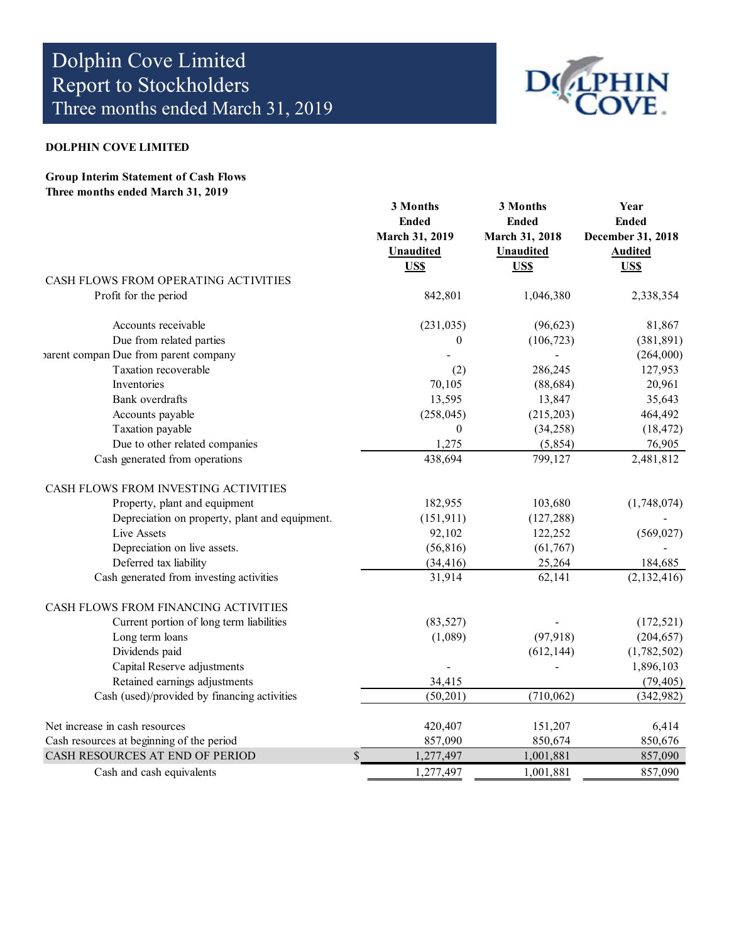

#### DOLPHIN COVE LIMITED

Group Interim Statement of Cash Flows Three months ended March 31, 2019

|                                                | 3 Months<br><b>Ended</b><br>March 31, 2019<br><b>Unaudited</b><br><b>USS</b> | 3 Months<br><b>Ended</b><br>March 31, 2018<br><b>Unaudited</b><br>US\$ | Year<br><b>Ended</b><br>December 31, 2018<br><b>Audited</b><br>US\$ |
|------------------------------------------------|------------------------------------------------------------------------------|------------------------------------------------------------------------|---------------------------------------------------------------------|
| CASH FLOWS FROM OPERATING ACTIVITIES           |                                                                              |                                                                        |                                                                     |
| Profit for the period                          | 842,801                                                                      | 1,046,380                                                              | 2,338,354                                                           |
| Accounts receivable                            | (231, 035)                                                                   | (96, 623)                                                              | 81,867                                                              |
| Due from related parties                       | $\boldsymbol{0}$                                                             | (106, 723)                                                             | (381, 891)                                                          |
| varent compan Due from parent company          |                                                                              |                                                                        | (264,000)                                                           |
| Taxation recoverable                           | (2)                                                                          | 286,245                                                                | 127,953                                                             |
| Inventories                                    | 70,105                                                                       | (88, 684)                                                              | 20,961                                                              |
| Bank overdrafts                                | 13,595                                                                       | 13,847                                                                 | 35,643                                                              |
| Accounts payable                               | (258, 045)                                                                   | (215, 203)                                                             | 464,492                                                             |
| Taxation payable                               | $\overline{0}$                                                               | (34,258)                                                               | (18, 472)                                                           |
| Due to other related companies                 | 1,275                                                                        | (5,854)                                                                | 76,905                                                              |
| Cash generated from operations                 | 438,694                                                                      | 799,127                                                                | 2,481,812                                                           |
| CASH FLOWS FROM INVESTING ACTIVITIES           |                                                                              |                                                                        |                                                                     |
| Property, plant and equipment                  | 182,955                                                                      | 103,680                                                                | (1,748,074)                                                         |
| Depreciation on property, plant and equipment. | (151, 911)                                                                   | (127, 288)                                                             |                                                                     |
| Live Assets                                    | 92,102                                                                       | 122,252                                                                | (569, 027)                                                          |
| Depreciation on live assets.                   | (56, 816)                                                                    | (61, 767)                                                              |                                                                     |
| Deferred tax liability                         | (34, 416)                                                                    | 25,264                                                                 | 184,685                                                             |
| Cash generated from investing activities       | 31,914                                                                       | 62,141                                                                 | (2, 132, 416)                                                       |
| CASH FLOWS FROM FINANCING ACTIVITIES           |                                                                              |                                                                        |                                                                     |
| Current portion of long term liabilities       | (83, 527)                                                                    |                                                                        | (172, 521)                                                          |
| Long term loans                                | (1,089)                                                                      | (97, 918)                                                              | (204, 657)                                                          |
| Dividends paid                                 |                                                                              | (612, 144)                                                             | (1,782,502)                                                         |
| Capital Reserve adjustments                    |                                                                              |                                                                        | 1,896,103                                                           |
| Retained earnings adjustments                  | 34,415                                                                       |                                                                        | (79, 405)                                                           |
| Cash (used)/provided by financing activities   | (50,201)                                                                     | (710, 062)                                                             | (342, 982)                                                          |
| Net increase in cash resources                 | 420,407                                                                      | 151,207                                                                | 6,414                                                               |
| Cash resources at beginning of the period      | 857,090                                                                      | 850,674                                                                | 850,676                                                             |
| CASH RESOURCES AT END OF PERIOD                | $\mathcal{S}$<br>1,277,497                                                   | 1,001,881                                                              | 857,090                                                             |
| Cash and cash equivalents                      | 1,277,497                                                                    | 1,001,881                                                              | 857,090                                                             |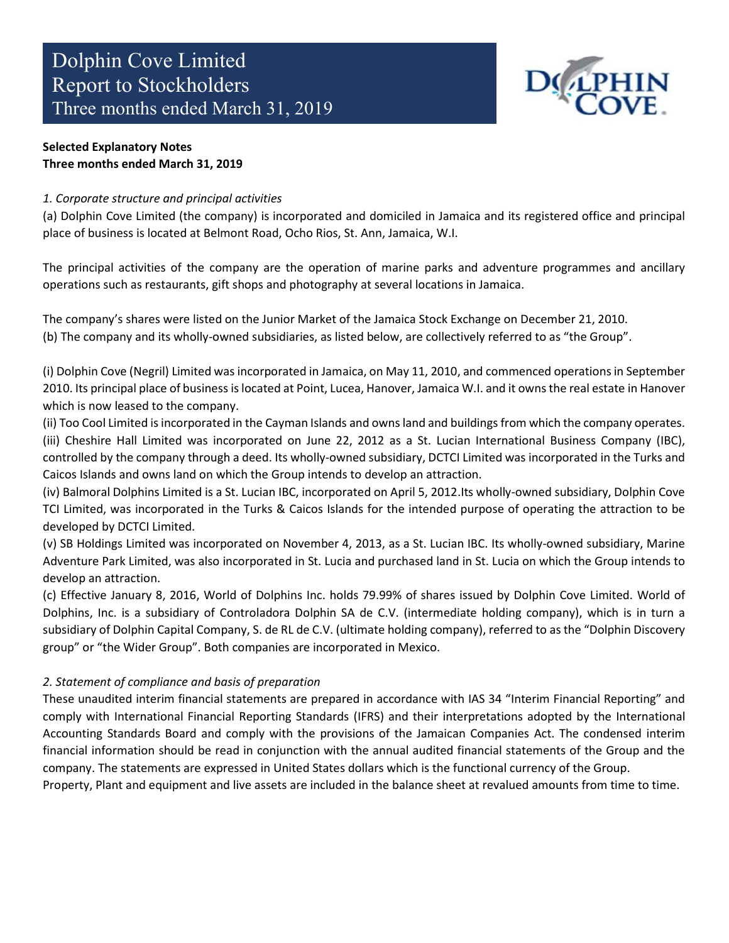

# Selected Explanatory Notes Three months ended March 31, 2019

# 1. Corporate structure and principal activities

(a) Dolphin Cove Limited (the company) is incorporated and domiciled in Jamaica and its registered office and principal place of business is located at Belmont Road, Ocho Rios, St. Ann, Jamaica, W.I.

The principal activities of the company are the operation of marine parks and adventure programmes and ancillary operations such as restaurants, gift shops and photography at several locations in Jamaica.

The company's shares were listed on the Junior Market of the Jamaica Stock Exchange on December 21, 2010. (b) The company and its wholly-owned subsidiaries, as listed below, are collectively referred to as "the Group".

(i) Dolphin Cove (Negril) Limited was incorporated in Jamaica, on May 11, 2010, and commenced operations in September 2010. Its principal place of business is located at Point, Lucea, Hanover, Jamaica W.I. and it owns the real estate in Hanover which is now leased to the company.

(ii) Too Cool Limited is incorporated in the Cayman Islands and owns land and buildings from which the company operates. (iii) Cheshire Hall Limited was incorporated on June 22, 2012 as a St. Lucian International Business Company (IBC), controlled by the company through a deed. Its wholly-owned subsidiary, DCTCI Limited was incorporated in the Turks and Caicos Islands and owns land on which the Group intends to develop an attraction.

(iv) Balmoral Dolphins Limited is a St. Lucian IBC, incorporated on April 5, 2012.Its wholly-owned subsidiary, Dolphin Cove TCI Limited, was incorporated in the Turks & Caicos Islands for the intended purpose of operating the attraction to be developed by DCTCI Limited.

(v) SB Holdings Limited was incorporated on November 4, 2013, as a St. Lucian IBC. Its wholly-owned subsidiary, Marine Adventure Park Limited, was also incorporated in St. Lucia and purchased land in St. Lucia on which the Group intends to develop an attraction.

(c) Effective January 8, 2016, World of Dolphins Inc. holds 79.99% of shares issued by Dolphin Cove Limited. World of Dolphins, Inc. is a subsidiary of Controladora Dolphin SA de C.V. (intermediate holding company), which is in turn a subsidiary of Dolphin Capital Company, S. de RL de C.V. (ultimate holding company), referred to as the "Dolphin Discovery group" or "the Wider Group". Both companies are incorporated in Mexico.

# 2. Statement of compliance and basis of preparation

These unaudited interim financial statements are prepared in accordance with IAS 34 "Interim Financial Reporting" and comply with International Financial Reporting Standards (IFRS) and their interpretations adopted by the International Accounting Standards Board and comply with the provisions of the Jamaican Companies Act. The condensed interim financial information should be read in conjunction with the annual audited financial statements of the Group and the company. The statements are expressed in United States dollars which is the functional currency of the Group.

Property, Plant and equipment and live assets are included in the balance sheet at revalued amounts from time to time.